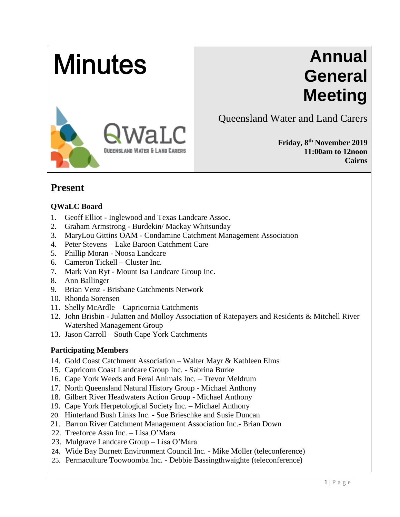# **Minutes**

# **Annual General Meeting**



Queensland Water and Land Carers

**Friday, 8 th November 2019 11:00am to 12noon Cairns**

## **Present**

#### **QWaLC Board**

- 1. Geoff Elliot Inglewood and Texas Landcare Assoc.
- 2. Graham Armstrong Burdekin/ Mackay Whitsunday
- 3. MaryLou Gittins OAM Condamine Catchment Management Association
- 4. Peter Stevens Lake Baroon Catchment Care
- 5. Phillip Moran Noosa Landcare
- 6. Cameron Tickell Cluster Inc.
- 7. Mark Van Ryt Mount Isa Landcare Group Inc.
- 8. Ann Ballinger
- 9. Brian Venz Brisbane Catchments Network
- 10. Rhonda Sorensen
- 11. Shelly McArdle Capricornia Catchments
- 12. John Brisbin Julatten and Molloy Association of Ratepayers and Residents & Mitchell River Watershed Management Group
- 13. Jason Carroll South Cape York Catchments

#### **Participating Members**

- 14. Gold Coast Catchment Association Walter Mayr & Kathleen Elms
- 15. Capricorn Coast Landcare Group Inc. Sabrina Burke
- 16. Cape York Weeds and Feral Animals Inc. Trevor Meldrum
- 17. North Queensland Natural History Group Michael Anthony
- 18. Gilbert River Headwaters Action Group Michael Anthony
- 19. Cape York Herpetological Society Inc. Michael Anthony
- 20. Hinterland Bush Links Inc. Sue Brieschke and Susie Duncan
- 21. Barron River Catchment Management Association Inc.- Brian Down
- 22. Treeforce Assn Inc. Lisa O'Mara
- 23. Mulgrave Landcare Group Lisa O'Mara
- 24. Wide Bay Burnett Environment Council Inc. Mike Moller (teleconference)
- 25. Permaculture Toowoomba Inc. Debbie Bassingthwaighte (teleconference)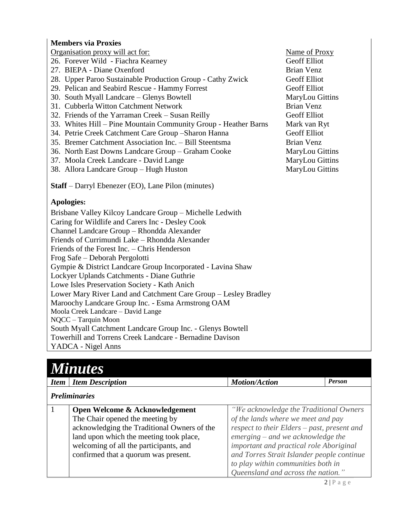#### **Members via Proxies**

Organisation proxy will act for: Name of Proxy

26. Forever Wild - Fiachra Kearney Geoff Elliot

- 27. BIEPA Diane Oxenford and Brian Venz
- 28. Upper Paroo Sustainable Production Group Cathy Zwick Geoff Elliot
- 29. Pelican and Seabird Rescue Hammy Forrest Geoff Elliot
- 30. South Myall Landcare Glenys Bowtell MaryLou Gittins
- 31. Cubberla Witton Catchment Network Brian Venz
- 32. Friends of the Yarraman Creek Susan Reilly Geoff Elliot
- 33. Whites Hill Pine Mountain Community Group Heather Barns Mark van Ryt
- 34. Petrie Creek Catchment Care Group –Sharon Hanna Geoff Elliot
- 35. Bremer Catchment Association Inc. Bill Steentsma Brian Venz
- 36. North East Downs Landcare Group Graham Cooke MaryLou Gittins
- 37. Moola Creek Landcare David Lange MaryLou Gittins
- 38. Allora Landcare Group Hugh Huston MaryLou Gittins

**Staff** – Darryl Ebenezer (EO), Lane Pilon (minutes)

#### **Apologies:**

Brisbane Valley Kilcoy Landcare Group – Michelle Ledwith Caring for Wildlife and Carers Inc - Desley Cook Channel Landcare Group – Rhondda Alexander Friends of Currimundi Lake – Rhondda Alexander Friends of the Forest Inc. – Chris Henderson Frog Safe – Deborah Pergolotti Gympie & District Landcare Group Incorporated - Lavina Shaw Lockyer Uplands Catchments - Diane Guthrie Lowe Isles Preservation Society - Kath Anich Lower Mary River Land and Catchment Care Group – Lesley Bradley Maroochy Landcare Group Inc. - Esma Armstrong OAM Moola Creek Landcare – David Lange NQCC – Tarquin Moon South Myall Catchment Landcare Group Inc. - Glenys Bowtell Towerhill and Torrens Creek Landcare - Bernadine Davison YADCA - Nigel Anns

| <b>Minutes</b>                                                                                                                                                                                                                                |                                                                                                                                                                                                                                                                                                                                         |               |  |  |
|-----------------------------------------------------------------------------------------------------------------------------------------------------------------------------------------------------------------------------------------------|-----------------------------------------------------------------------------------------------------------------------------------------------------------------------------------------------------------------------------------------------------------------------------------------------------------------------------------------|---------------|--|--|
| <b>Item Description</b><br><b>Item</b>                                                                                                                                                                                                        | <b>Motion/Action</b>                                                                                                                                                                                                                                                                                                                    | <b>Person</b> |  |  |
| <b>Preliminaries</b>                                                                                                                                                                                                                          |                                                                                                                                                                                                                                                                                                                                         |               |  |  |
| Open Welcome & Acknowledgement<br>The Chair opened the meeting by<br>acknowledging the Traditional Owners of the<br>land upon which the meeting took place,<br>welcoming of all the participants, and<br>confirmed that a quorum was present. | "We acknowledge the Traditional Owners<br>of the lands where we meet and pay<br>respect to their Elders - past, present and<br>$emerging - and we acknowledge the$<br>important and practical role Aboriginal<br>and Torres Strait Islander people continue<br>to play within communities both in<br>Queensland and across the nation." |               |  |  |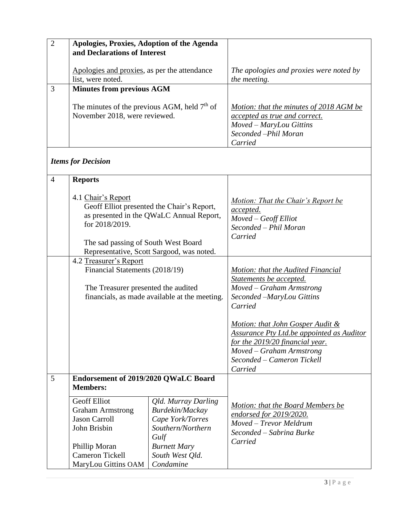| $\overline{c}$ | Apologies, Proxies, Adoption of the Agenda<br>and Declarations of Interest      |                                                                                                                                               |
|----------------|---------------------------------------------------------------------------------|-----------------------------------------------------------------------------------------------------------------------------------------------|
|                | Apologies and proxies, as per the attendance<br>list, were noted.               | The apologies and proxies were noted by<br>the meeting.                                                                                       |
|                | <b>Minutes from previous AGM</b>                                                |                                                                                                                                               |
|                | The minutes of the previous AGM, held $7th$ of<br>November 2018, were reviewed. | Motion: that the minutes of 2018 AGM be<br><i>accepted as true and correct.</i><br>Moved – MaryLou Gittins<br>Seconded -Phil Moran<br>Carried |

## *Items for Decision*

| $\overline{4}$ | <b>Reports</b>                                                                                                                                                                                                     |                                                                                                                                                |                                                                                                                                                                                              |
|----------------|--------------------------------------------------------------------------------------------------------------------------------------------------------------------------------------------------------------------|------------------------------------------------------------------------------------------------------------------------------------------------|----------------------------------------------------------------------------------------------------------------------------------------------------------------------------------------------|
|                | 4.1 Chair's Report<br>Geoff Elliot presented the Chair's Report,<br>as presented in the QWaLC Annual Report,<br>for 2018/2019.<br>The sad passing of South West Board<br>Representative, Scott Sargood, was noted. |                                                                                                                                                | <u>Motion: That the Chair's Report be</u><br>accepted.<br>Moved - Geoff Elliot<br>Seconded – Phil Moran<br>Carried                                                                           |
|                | 4.2 Treasurer's Report<br>Financial Statements (2018/19)<br>The Treasurer presented the audited<br>financials, as made available at the meeting.                                                                   |                                                                                                                                                | Motion: that the Audited Financial<br>Statements be accepted.<br>Moved – Graham Armstrong<br>Seconded -MaryLou Gittins<br>Carried                                                            |
|                |                                                                                                                                                                                                                    |                                                                                                                                                | Motion: that John Gosper Audit &<br><b>Assurance Pty Ltd.be appointed as Auditor</b><br>for the 2019/20 financial year.<br>Moved - Graham Armstrong<br>Seconded – Cameron Tickell<br>Carried |
| 5              | Endorsement of 2019/2020 QWaLC Board<br><b>Members:</b>                                                                                                                                                            |                                                                                                                                                |                                                                                                                                                                                              |
|                | <b>Geoff Elliot</b><br><b>Graham Armstrong</b><br><b>Jason Carroll</b><br>John Brisbin<br>Phillip Moran<br><b>Cameron Tickell</b><br>MaryLou Gittins OAM                                                           | Qld. Murray Darling<br>Burdekin/Mackay<br>Cape York/Torres<br>Southern/Northern<br>Gulf<br><b>Burnett Mary</b><br>South West Qld.<br>Condamine | Motion: that the Board Members be<br>endorsed for 2019/2020.<br>Moved - Trevor Meldrum<br>Seconded - Sabrina Burke<br>Carried                                                                |